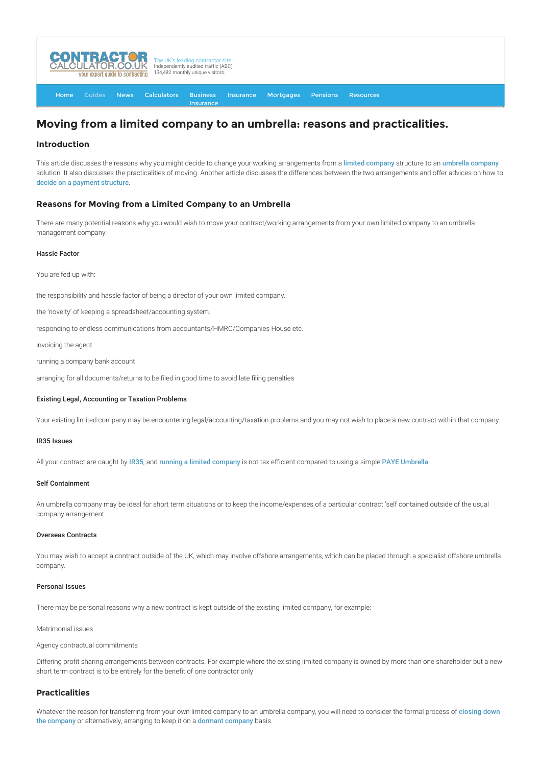

[Home](http://www.contractorcalculator.co.uk/) [Guides](http://www.contractorcalculator.co.uk/Articles.aspx) [News](http://www.contractorcalculator.co.uk/Contractor_News.aspx) [Calculators](http://www.contractorcalculator.co.uk/Calculators.aspx) Business **[Insurance](http://www.contractorcalculator.co.uk/Contractor_Insurances.aspx)** [Insurance](http://www.contractorcalculator.co.uk/Insurance.aspx) [Mortgages](http://www.contractorcalculator.co.uk/Contractor_Mortgages.aspx) [Pensions](http://www.contractorcalculator.co.uk/Contractor_Pensions.aspx) [Resources](http://www.contractorcalculator.co.uk/Contractor_Resources.aspx)

# **Moving from a limited company to an umbrella: reasons and practicalities.**

# **Introduction**

This article discusses the reasons why you might decide to change your working arrangements from a [limited company](http://www.contractorcalculator.co.uk/limited_companies.aspx) structure to an [umbrella company](http://www.contractorcalculator.co.uk/umbrellas.aspx) solution. It also discusses the practicalities of moving. Another article discusses the differences between the two arrangements and offer advices on how to [decide on a payment structure](http://www.contractorcalculator.co.uk/limited_company_umbrella_differences.aspx).

# **Reasons for Moving from a Limited Company to an Umbrella**

There are many potential reasons why you would wish to move your contract/working arrangements from your own limited company to an umbrella management company:

### Hassle Factor

You are fed up with:

the responsibility and hassle factor of being a director of your own limited company.

the 'novelty' of keeping a spreadsheet/accounting system.

responding to endless communications from accountants/HMRC/Companies House etc.

invoicing the agent

running a company bank account

arranging for all documents/returns to be filed in good time to avoid late filing penalties

#### Existing Legal, Accounting or Taxation Problems

Your existing limited company may be encountering legal/accounting/taxation problems and you may not wish to place a new contract within that company.

#### IR35 Issues

All your contract are caught by [IR35](http://www.contractorcalculator.co.uk/ir35.aspx), and [running a limited company](http://www.contractorcalculator.co.uk/contractors_run_limited_companies.aspx) is not tax efficient compared to using a simple [PAYE Umbrella](http://www.contractorcalculator.co.uk/paye_umbrella.aspx).

## Self Containment

An umbrella company may be ideal for short term situations or to keep the income/expenses of a particular contract 'self contained outside of the usual company arrangement.

### Overseas Contracts

You may wish to accept a contract outside of the UK, which may involve offshore arrangements, which can be placed through a specialist offshore umbrella company.

#### Personal Issues

There may be personal reasons why a new contract is kept outside of the existing limited company, for example:

#### Matrimonial issues

Agency contractual commitments

Differing profit sharing arrangements between contracts. For example where the existing limited company is owned by more than one shareholder but a new short term contract is to be entirely for the benefit of one contractor only

## **Practicalities**

[Whatever the reason for transferring from your own limited company to an umbrella company, you will need to consider the formal process of](http://www.contractorcalculator.co.uk/contractors_close_down_limited_company.aspx) closing down the company or alternatively, arranging to keep it on a [dormant company](http://www.contractorcalculator.co.uk/making_limited_company_dormant.aspx) basis.